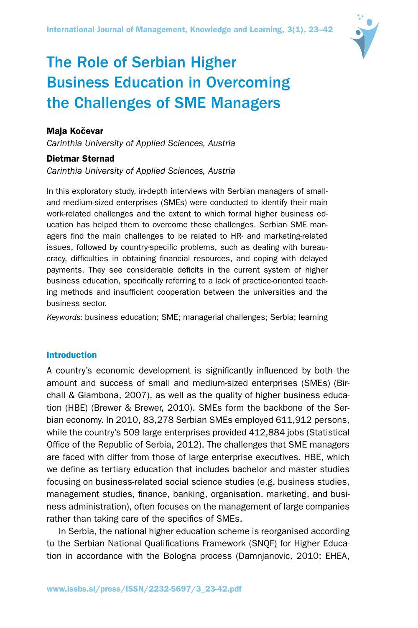

# The Role of Serbian Higher Business Education in Overcoming the Challenges of SME Managers

# Maja Kočevar

*Carinthia University of Applied Sciences, Austria*

# Dietmar Sternad

*Carinthia University of Applied Sciences, Austria*

In this exploratory study, in-depth interviews with Serbian managers of smalland medium-sized enterprises (SMEs) were conducted to identify their main work-related challenges and the extent to which formal higher business education has helped them to overcome these challenges. Serbian SME managers find the main challenges to be related to HR- and marketing-related issues, followed by country-specific problems, such as dealing with bureaucracy, difficulties in obtaining financial resources, and coping with delayed payments. They see considerable deficits in the current system of higher business education, specifically referring to a lack of practice-oriented teaching methods and insufficient cooperation between the universities and the business sector.

*Keywords:* business education; SME; managerial challenges; Serbia; learning

## Introduction

A country's economic development is significantly influenced by both the amount and success of small and medium-sized enterprises (SMEs) (Birchall & Giambona, 2007), as well as the quality of higher business education (HBE) (Brewer & Brewer, 2010). SMEs form the backbone of the Serbian economy. In 2010, 83,278 Serbian SMEs employed 611,912 persons, while the country's 509 large enterprises provided 412,884 jobs (Statistical Office of the Republic of Serbia, 2012). The challenges that SME managers are faced with differ from those of large enterprise executives. HBE, which we define as tertiary education that includes bachelor and master studies focusing on business-related social science studies (e.g. business studies, management studies, finance, banking, organisation, marketing, and business administration), often focuses on the management of large companies rather than taking care of the specifics of SMEs.

In Serbia, the national higher education scheme is reorganised according to the Serbian National Qualifications Framework (SNQF) for Higher Education in accordance with the Bologna process (Damnjanovic, 2010; EHEA,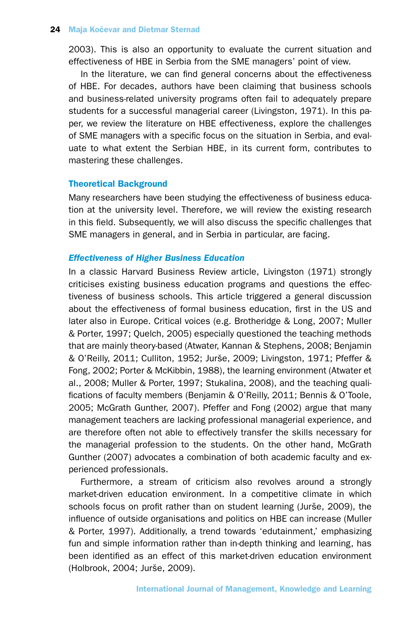2003). This is also an opportunity to evaluate the current situation and effectiveness of HBE in Serbia from the SME managers' point of view.

In the literature, we can find general concerns about the effectiveness of HBE. For decades, authors have been claiming that business schools and business-related university programs often fail to adequately prepare students for a successful managerial career (Livingston, 1971). In this paper, we review the literature on HBE effectiveness, explore the challenges of SME managers with a specific focus on the situation in Serbia, and evaluate to what extent the Serbian HBE, in its current form, contributes to mastering these challenges.

# Theoretical Background

Many researchers have been studying the effectiveness of business education at the university level. Therefore, we will review the existing research in this field. Subsequently, we will also discuss the specific challenges that SME managers in general, and in Serbia in particular, are facing.

## *Effectiveness of Higher Business Education*

In a classic Harvard Business Review article, Livingston (1971) strongly criticises existing business education programs and questions the effectiveness of business schools. This article triggered a general discussion about the effectiveness of formal business education, first in the US and later also in Europe. Critical voices (e.g. Brotheridge & Long, 2007; Muller & Porter, 1997; Quelch, 2005) especially questioned the teaching methods that are mainly theory-based (Atwater, Kannan & Stephens, 2008; Benjamin & O'Reilly, 2011; Culliton, 1952; Jurše, 2009; Livingston, 1971; Pfeffer & Fong, 2002; Porter & McKibbin, 1988), the learning environment (Atwater et al., 2008; Muller & Porter, 1997; Stukalina, 2008), and the teaching qualifications of faculty members (Benjamin & O'Reilly, 2011; Bennis & O'Toole, 2005; McGrath Gunther, 2007). Pfeffer and Fong (2002) argue that many management teachers are lacking professional managerial experience, and are therefore often not able to effectively transfer the skills necessary for the managerial profession to the students. On the other hand, McGrath Gunther (2007) advocates a combination of both academic faculty and experienced professionals.

Furthermore, a stream of criticism also revolves around a strongly market-driven education environment. In a competitive climate in which schools focus on profit rather than on student learning (Jurše, 2009), the influence of outside organisations and politics on HBE can increase (Muller & Porter, 1997). Additionally, a trend towards 'edutainment,' emphasizing fun and simple information rather than in-depth thinking and learning, has been identified as an effect of this market-driven education environment (Holbrook, 2004; Jurše, 2009).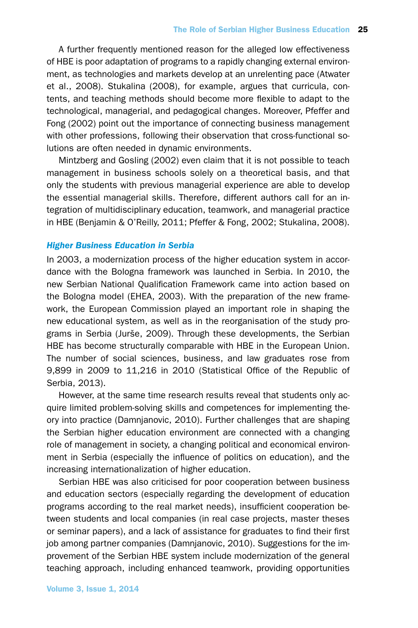A further frequently mentioned reason for the alleged low effectiveness of HBE is poor adaptation of programs to a rapidly changing external environment, as technologies and markets develop at an unrelenting pace (Atwater et al., 2008). Stukalina (2008), for example, argues that curricula, contents, and teaching methods should become more flexible to adapt to the technological, managerial, and pedagogical changes. Moreover, Pfeffer and Fong (2002) point out the importance of connecting business management with other professions, following their observation that cross-functional solutions are often needed in dynamic environments.

Mintzberg and Gosling (2002) even claim that it is not possible to teach management in business schools solely on a theoretical basis, and that only the students with previous managerial experience are able to develop the essential managerial skills. Therefore, different authors call for an integration of multidisciplinary education, teamwork, and managerial practice in HBE (Benjamin & O'Reilly, 2011; Pfeffer & Fong, 2002; Stukalina, 2008).

# *Higher Business Education in Serbia*

In 2003, a modernization process of the higher education system in accordance with the Bologna framework was launched in Serbia. In 2010, the new Serbian National Qualification Framework came into action based on the Bologna model (EHEA, 2003). With the preparation of the new framework, the European Commission played an important role in shaping the new educational system, as well as in the reorganisation of the study programs in Serbia (Jurše, 2009). Through these developments, the Serbian HBE has become structurally comparable with HBE in the European Union. The number of social sciences, business, and law graduates rose from 9,899 in 2009 to 11,216 in 2010 (Statistical Office of the Republic of Serbia, 2013).

However, at the same time research results reveal that students only acquire limited problem-solving skills and competences for implementing theory into practice (Damnjanovic, 2010). Further challenges that are shaping the Serbian higher education environment are connected with a changing role of management in society, a changing political and economical environment in Serbia (especially the influence of politics on education), and the increasing internationalization of higher education.

Serbian HBE was also criticised for poor cooperation between business and education sectors (especially regarding the development of education programs according to the real market needs), insufficient cooperation between students and local companies (in real case projects, master theses or seminar papers), and a lack of assistance for graduates to find their first job among partner companies (Damnjanovic, 2010). Suggestions for the improvement of the Serbian HBE system include modernization of the general teaching approach, including enhanced teamwork, providing opportunities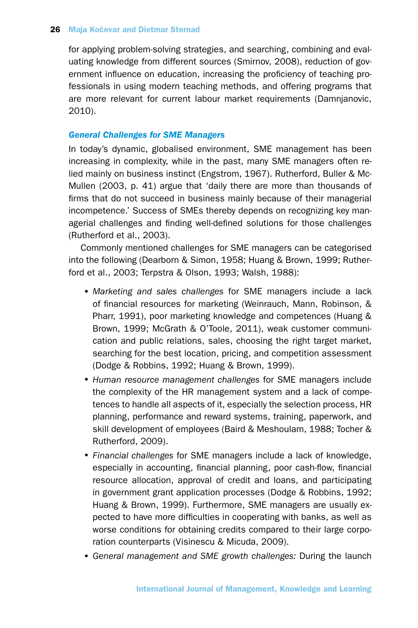for applying problem-solving strategies, and searching, combining and evaluating knowledge from different sources (Smirnov, 2008), reduction of government influence on education, increasing the proficiency of teaching professionals in using modern teaching methods, and offering programs that are more relevant for current labour market requirements (Damnjanovic, 2010).

# *General Challenges for SME Managers*

In today's dynamic, globalised environment, SME management has been increasing in complexity, while in the past, many SME managers often relied mainly on business instinct (Engstrom, 1967). Rutherford, Buller & Mc-Mullen (2003, p. 41) argue that 'daily there are more than thousands of firms that do not succeed in business mainly because of their managerial incompetence.' Success of SMEs thereby depends on recognizing key managerial challenges and finding well-defined solutions for those challenges (Rutherford et al., 2003).

Commonly mentioned challenges for SME managers can be categorised into the following (Dearborn & Simon, 1958; Huang & Brown, 1999; Rutherford et al., 2003; Terpstra & Olson, 1993; Walsh, 1988):

- *Marketing and sales challenges* for SME managers include a lack of financial resources for marketing (Weinrauch, Mann, Robinson, & Pharr, 1991), poor marketing knowledge and competences (Huang & Brown, 1999; McGrath & O'Toole, 2011), weak customer communication and public relations, sales, choosing the right target market, searching for the best location, pricing, and competition assessment (Dodge & Robbins, 1992; Huang & Brown, 1999).
- •*Human resource management challenges* for SME managers include the complexity of the HR management system and a lack of competences to handle all aspects of it, especially the selection process, HR planning, performance and reward systems, training, paperwork, and skill development of employees (Baird & Meshoulam, 1988; Tocher & Rutherford, 2009).
- •*Financial challenges* for SME managers include a lack of knowledge, especially in accounting, financial planning, poor cash-flow, financial resource allocation, approval of credit and loans, and participating in government grant application processes (Dodge & Robbins, 1992; Huang & Brown, 1999). Furthermore, SME managers are usually expected to have more difficulties in cooperating with banks, as well as worse conditions for obtaining credits compared to their large corporation counterparts (Visinescu & Micuda, 2009).
- •*General management and SME growth challenges:* During the launch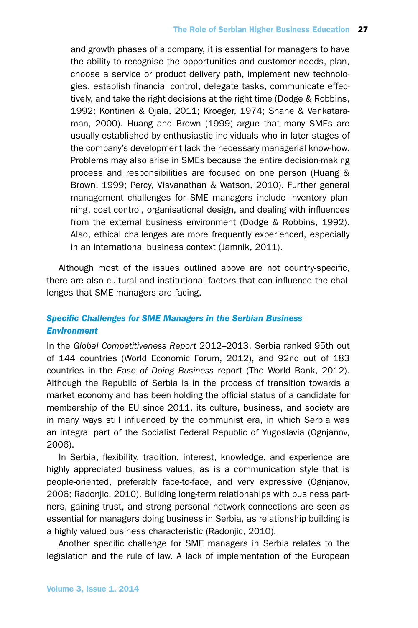and growth phases of a company, it is essential for managers to have the ability to recognise the opportunities and customer needs, plan, choose a service or product delivery path, implement new technologies, establish financial control, delegate tasks, communicate effectively, and take the right decisions at the right time (Dodge & Robbins, 1992; Kontinen & Ojala, 2011; Kroeger, 1974; Shane & Venkataraman, 2000). Huang and Brown (1999) argue that many SMEs are usually established by enthusiastic individuals who in later stages of the company's development lack the necessary managerial know-how. Problems may also arise in SMEs because the entire decision-making process and responsibilities are focused on one person (Huang & Brown, 1999; Percy, Visvanathan & Watson, 2010). Further general management challenges for SME managers include inventory planning, cost control, organisational design, and dealing with influences from the external business environment (Dodge & Robbins, 1992). Also, ethical challenges are more frequently experienced, especially in an international business context (Jamnik, 2011).

Although most of the issues outlined above are not country-specific, there are also cultural and institutional factors that can influence the challenges that SME managers are facing.

# *Specific Challenges for SME Managers in the Serbian Business Environment*

In the *Global Competitiveness Report* 2012–2013, Serbia ranked 95th out of 144 countries (World Economic Forum, 2012), and 92nd out of 183 countries in the *Ease of Doing Business* report (The World Bank, 2012). Although the Republic of Serbia is in the process of transition towards a market economy and has been holding the official status of a candidate for membership of the EU since 2011, its culture, business, and society are in many ways still influenced by the communist era, in which Serbia was an integral part of the Socialist Federal Republic of Yugoslavia (Ognjanov, 2006).

In Serbia, flexibility, tradition, interest, knowledge, and experience are highly appreciated business values, as is a communication style that is people-oriented, preferably face-to-face, and very expressive (Ognjanov, 2006; Radonjic, 2010). Building long-term relationships with business partners, gaining trust, and strong personal network connections are seen as essential for managers doing business in Serbia, as relationship building is a highly valued business characteristic (Radonjic, 2010).

Another specific challenge for SME managers in Serbia relates to the legislation and the rule of law. A lack of implementation of the European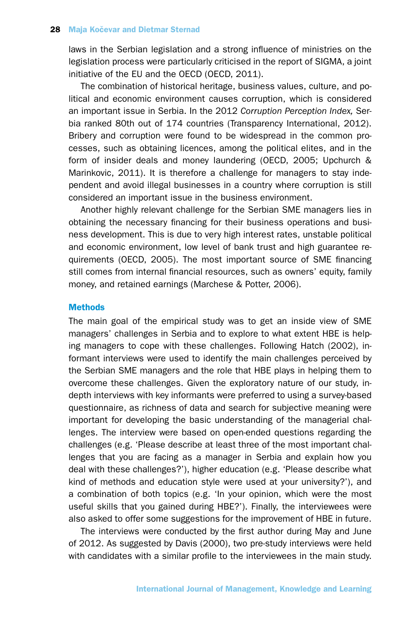laws in the Serbian legislation and a strong influence of ministries on the legislation process were particularly criticised in the report of SIGMA, a joint initiative of the EU and the OECD (OECD, 2011).

The combination of historical heritage, business values, culture, and political and economic environment causes corruption, which is considered an important issue in Serbia. In the 2012 *Corruption Perception Index,* Serbia ranked 80th out of 174 countries (Transparency International, 2012). Bribery and corruption were found to be widespread in the common processes, such as obtaining licences, among the political elites, and in the form of insider deals and money laundering (OECD, 2005; Upchurch & Marinkovic, 2011). It is therefore a challenge for managers to stay independent and avoid illegal businesses in a country where corruption is still considered an important issue in the business environment.

Another highly relevant challenge for the Serbian SME managers lies in obtaining the necessary financing for their business operations and business development. This is due to very high interest rates, unstable political and economic environment, low level of bank trust and high guarantee requirements (OECD, 2005). The most important source of SME financing still comes from internal financial resources, such as owners' equity, family money, and retained earnings (Marchese & Potter, 2006).

#### **Methods**

The main goal of the empirical study was to get an inside view of SME managers' challenges in Serbia and to explore to what extent HBE is helping managers to cope with these challenges. Following Hatch (2002), informant interviews were used to identify the main challenges perceived by the Serbian SME managers and the role that HBE plays in helping them to overcome these challenges. Given the exploratory nature of our study, indepth interviews with key informants were preferred to using a survey-based questionnaire, as richness of data and search for subjective meaning were important for developing the basic understanding of the managerial challenges. The interview were based on open-ended questions regarding the challenges (e.g. 'Please describe at least three of the most important challenges that you are facing as a manager in Serbia and explain how you deal with these challenges?'), higher education (e.g. 'Please describe what kind of methods and education style were used at your university?'), and a combination of both topics (e.g. 'In your opinion, which were the most useful skills that you gained during HBE?'). Finally, the interviewees were also asked to offer some suggestions for the improvement of HBE in future.

The interviews were conducted by the first author during May and June of 2012. As suggested by Davis (2000), two pre-study interviews were held with candidates with a similar profile to the interviewees in the main study.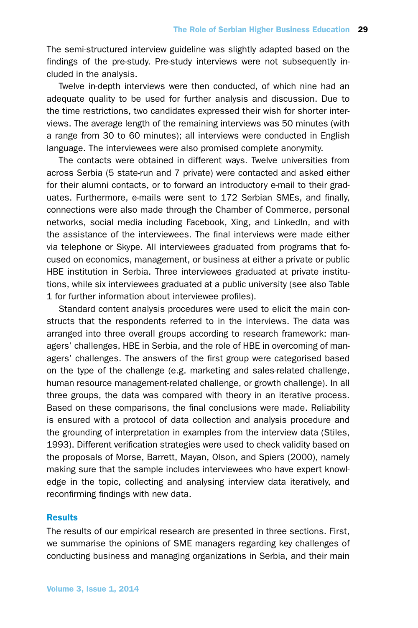The semi-structured interview guideline was slightly adapted based on the findings of the pre-study. Pre-study interviews were not subsequently included in the analysis.

Twelve in-depth interviews were then conducted, of which nine had an adequate quality to be used for further analysis and discussion. Due to the time restrictions, two candidates expressed their wish for shorter interviews. The average length of the remaining interviews was 50 minutes (with a range from 30 to 60 minutes); all interviews were conducted in English language. The interviewees were also promised complete anonymity.

The contacts were obtained in different ways. Twelve universities from across Serbia (5 state-run and 7 private) were contacted and asked either for their alumni contacts, or to forward an introductory e-mail to their graduates. Furthermore, e-mails were sent to 172 Serbian SMEs, and finally, connections were also made through the Chamber of Commerce, personal networks, social media including Facebook, Xing, and LinkedIn, and with the assistance of the interviewees. The final interviews were made either via telephone or Skype. All interviewees graduated from programs that focused on economics, management, or business at either a private or public HBE institution in Serbia. Three interviewees graduated at private institutions, while six interviewees graduated at a public university (see also Table 1 for further information about interviewee profiles).

Standard content analysis procedures were used to elicit the main constructs that the respondents referred to in the interviews. The data was arranged into three overall groups according to research framework: managers' challenges, HBE in Serbia, and the role of HBE in overcoming of managers' challenges. The answers of the first group were categorised based on the type of the challenge (e.g. marketing and sales-related challenge, human resource management-related challenge, or growth challenge). In all three groups, the data was compared with theory in an iterative process. Based on these comparisons, the final conclusions were made. Reliability is ensured with a protocol of data collection and analysis procedure and the grounding of interpretation in examples from the interview data (Stiles, 1993). Different verification strategies were used to check validity based on the proposals of Morse, Barrett, Mayan, Olson, and Spiers (2000), namely making sure that the sample includes interviewees who have expert knowledge in the topic, collecting and analysing interview data iteratively, and reconfirming findings with new data.

#### **Results**

The results of our empirical research are presented in three sections. First, we summarise the opinions of SME managers regarding key challenges of conducting business and managing organizations in Serbia, and their main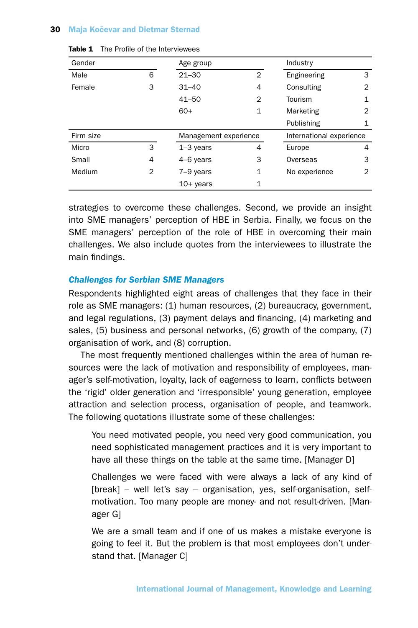| Gender    |                       | Age group   |                | Industry                 |                |
|-----------|-----------------------|-------------|----------------|--------------------------|----------------|
| Male      | 6                     | $21 - 30$   | $\overline{2}$ | Engineering              | 3              |
| Female    | 3                     | $31 - 40$   | 4              | Consulting               | $\overline{2}$ |
|           |                       | $41 - 50$   | 2              | Tourism                  | 1              |
|           |                       | $60+$       | $\mathbf{1}$   | Marketing                | $\overline{2}$ |
|           |                       |             |                | Publishing               | 1              |
| Firm size | Management experience |             |                | International experience |                |
| Micro     | 3                     | $1-3$ years | 4              | Europe                   | 4              |
| Small     | 4                     | 4-6 years   | 3              | Overseas                 | 3              |
| Medium    | $\overline{2}$        | 7-9 years   | $\mathbf{1}$   | No experience            | 2              |
|           |                       | $10+$ years | $\mathbf{1}$   |                          |                |

| Table 1 |  | The Profile of the Interviewees |
|---------|--|---------------------------------|
|         |  |                                 |

strategies to overcome these challenges. Second, we provide an insight into SME managers' perception of HBE in Serbia. Finally, we focus on the SME managers' perception of the role of HBE in overcoming their main challenges. We also include quotes from the interviewees to illustrate the main findings.

#### *Challenges for Serbian SME Managers*

Respondents highlighted eight areas of challenges that they face in their role as SME managers: (1) human resources, (2) bureaucracy, government, and legal regulations, (3) payment delays and financing, (4) marketing and sales, (5) business and personal networks, (6) growth of the company, (7) organisation of work, and (8) corruption.

The most frequently mentioned challenges within the area of human resources were the lack of motivation and responsibility of employees, manager's self-motivation, loyalty, lack of eagerness to learn, conflicts between the 'rigid' older generation and 'irresponsible' young generation, employee attraction and selection process, organisation of people, and teamwork. The following quotations illustrate some of these challenges:

You need motivated people, you need very good communication, you need sophisticated management practices and it is very important to have all these things on the table at the same time. [Manager D]

Challenges we were faced with were always a lack of any kind of [break] – well let's say – organisation, yes, self-organisation, selfmotivation. Too many people are money- and not result-driven. [Manager G]

We are a small team and if one of us makes a mistake everyone is going to feel it. But the problem is that most employees don't understand that. [Manager C]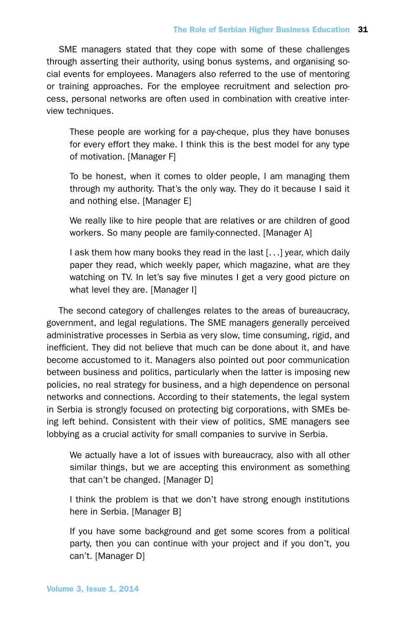SME managers stated that they cope with some of these challenges through asserting their authority, using bonus systems, and organising social events for employees. Managers also referred to the use of mentoring or training approaches. For the employee recruitment and selection process, personal networks are often used in combination with creative interview techniques.

These people are working for a pay-cheque, plus they have bonuses for every effort they make. I think this is the best model for any type of motivation. [Manager F]

To be honest, when it comes to older people, I am managing them through my authority. That's the only way. They do it because I said it and nothing else. [Manager E]

We really like to hire people that are relatives or are children of good workers. So many people are family-connected. [Manager A]

I ask them how many books they read in the last [. . .] year, which daily paper they read, which weekly paper, which magazine, what are they watching on TV. In let's say five minutes I get a very good picture on what level they are. [Manager I]

The second category of challenges relates to the areas of bureaucracy, government, and legal regulations. The SME managers generally perceived administrative processes in Serbia as very slow, time consuming, rigid, and inefficient. They did not believe that much can be done about it, and have become accustomed to it. Managers also pointed out poor communication between business and politics, particularly when the latter is imposing new policies, no real strategy for business, and a high dependence on personal networks and connections. According to their statements, the legal system in Serbia is strongly focused on protecting big corporations, with SMEs being left behind. Consistent with their view of politics, SME managers see lobbying as a crucial activity for small companies to survive in Serbia.

We actually have a lot of issues with bureaucracy, also with all other similar things, but we are accepting this environment as something that can't be changed. [Manager D]

I think the problem is that we don't have strong enough institutions here in Serbia. [Manager B]

If you have some background and get some scores from a political party, then you can continue with your project and if you don't, you can't. [Manager D]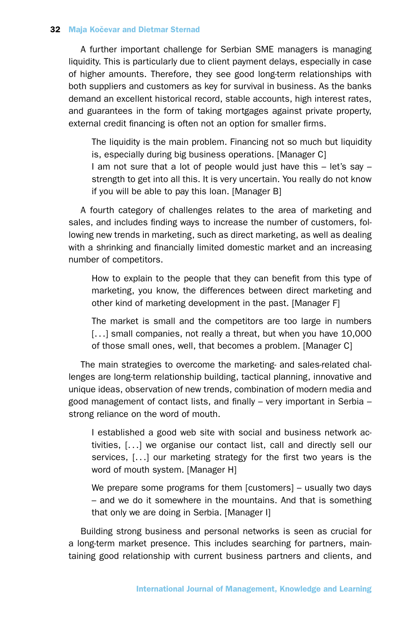A further important challenge for Serbian SME managers is managing liquidity. This is particularly due to client payment delays, especially in case of higher amounts. Therefore, they see good long-term relationships with both suppliers and customers as key for survival in business. As the banks demand an excellent historical record, stable accounts, high interest rates, and guarantees in the form of taking mortgages against private property, external credit financing is often not an option for smaller firms.

The liquidity is the main problem. Financing not so much but liquidity is, especially during big business operations. [Manager C]

I am not sure that a lot of people would just have this – let's say – strength to get into all this. It is very uncertain. You really do not know if you will be able to pay this loan. [Manager B]

A fourth category of challenges relates to the area of marketing and sales, and includes finding ways to increase the number of customers, following new trends in marketing, such as direct marketing, as well as dealing with a shrinking and financially limited domestic market and an increasing number of competitors.

How to explain to the people that they can benefit from this type of marketing, you know, the differences between direct marketing and other kind of marketing development in the past. [Manager F]

The market is small and the competitors are too large in numbers [...] small companies, not really a threat, but when you have 10,000 of those small ones, well, that becomes a problem. [Manager C]

The main strategies to overcome the marketing- and sales-related challenges are long-term relationship building, tactical planning, innovative and unique ideas, observation of new trends, combination of modern media and good management of contact lists, and finally – very important in Serbia – strong reliance on the word of mouth.

I established a good web site with social and business network activities, [. . .] we organise our contact list, call and directly sell our services, [...] our marketing strategy for the first two years is the word of mouth system. [Manager H]

We prepare some programs for them [customers] – usually two days – and we do it somewhere in the mountains. And that is something that only we are doing in Serbia. [Manager I]

Building strong business and personal networks is seen as crucial for a long-term market presence. This includes searching for partners, maintaining good relationship with current business partners and clients, and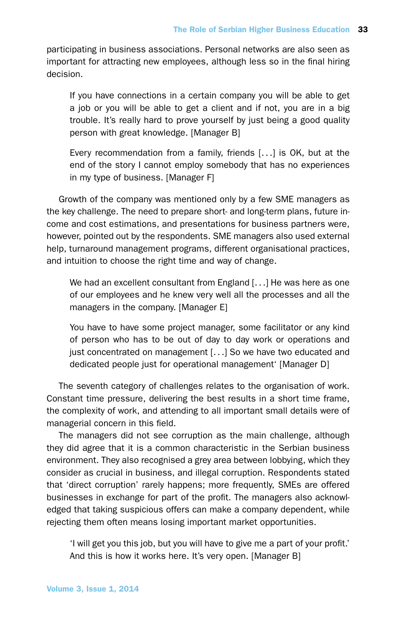participating in business associations. Personal networks are also seen as important for attracting new employees, although less so in the final hiring decision.

If you have connections in a certain company you will be able to get a job or you will be able to get a client and if not, you are in a big trouble. It's really hard to prove yourself by just being a good quality person with great knowledge. [Manager B]

Every recommendation from a family, friends [. . .] is OK, but at the end of the story I cannot employ somebody that has no experiences in my type of business. [Manager F]

Growth of the company was mentioned only by a few SME managers as the key challenge. The need to prepare short- and long-term plans, future income and cost estimations, and presentations for business partners were, however, pointed out by the respondents. SME managers also used external help, turnaround management programs, different organisational practices, and intuition to choose the right time and way of change.

We had an excellent consultant from England [...] He was here as one of our employees and he knew very well all the processes and all the managers in the company. [Manager E]

You have to have some project manager, some facilitator or any kind of person who has to be out of day to day work or operations and just concentrated on management [. . .] So we have two educated and dedicated people just for operational management' [Manager D]

The seventh category of challenges relates to the organisation of work. Constant time pressure, delivering the best results in a short time frame, the complexity of work, and attending to all important small details were of managerial concern in this field.

The managers did not see corruption as the main challenge, although they did agree that it is a common characteristic in the Serbian business environment. They also recognised a grey area between lobbying, which they consider as crucial in business, and illegal corruption. Respondents stated that 'direct corruption' rarely happens; more frequently, SMEs are offered businesses in exchange for part of the profit. The managers also acknowledged that taking suspicious offers can make a company dependent, while rejecting them often means losing important market opportunities.

'I will get you this job, but you will have to give me a part of your profit.' And this is how it works here. It's very open. [Manager B]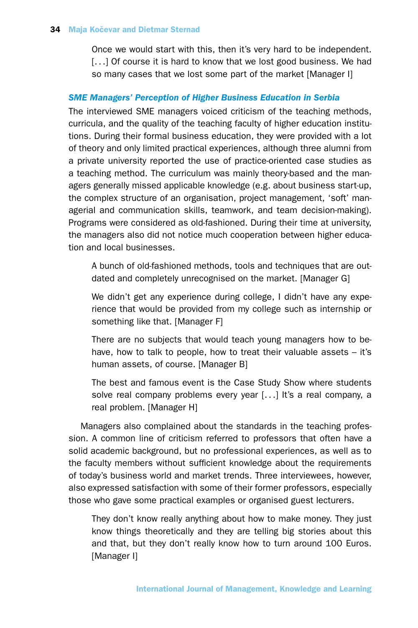Once we would start with this, then it's very hard to be independent. [...] Of course it is hard to know that we lost good business. We had so many cases that we lost some part of the market [Manager I]

# *SME Managers' Perception of Higher Business Education in Serbia*

The interviewed SME managers voiced criticism of the teaching methods, curricula, and the quality of the teaching faculty of higher education institutions. During their formal business education, they were provided with a lot of theory and only limited practical experiences, although three alumni from a private university reported the use of practice-oriented case studies as a teaching method. The curriculum was mainly theory-based and the managers generally missed applicable knowledge (e.g. about business start-up, the complex structure of an organisation, project management, 'soft' managerial and communication skills, teamwork, and team decision-making). Programs were considered as old-fashioned. During their time at university, the managers also did not notice much cooperation between higher education and local businesses.

A bunch of old-fashioned methods, tools and techniques that are outdated and completely unrecognised on the market. [Manager G]

We didn't get any experience during college, I didn't have any experience that would be provided from my college such as internship or something like that. [Manager F]

There are no subjects that would teach young managers how to behave, how to talk to people, how to treat their valuable assets – it's human assets, of course. [Manager B]

The best and famous event is the Case Study Show where students solve real company problems every year [. . .] It's a real company, a real problem. [Manager H]

Managers also complained about the standards in the teaching profession. A common line of criticism referred to professors that often have a solid academic background, but no professional experiences, as well as to the faculty members without sufficient knowledge about the requirements of today's business world and market trends. Three interviewees, however, also expressed satisfaction with some of their former professors, especially those who gave some practical examples or organised guest lecturers.

They don't know really anything about how to make money. They just know things theoretically and they are telling big stories about this and that, but they don't really know how to turn around 100 Euros. [Manager I]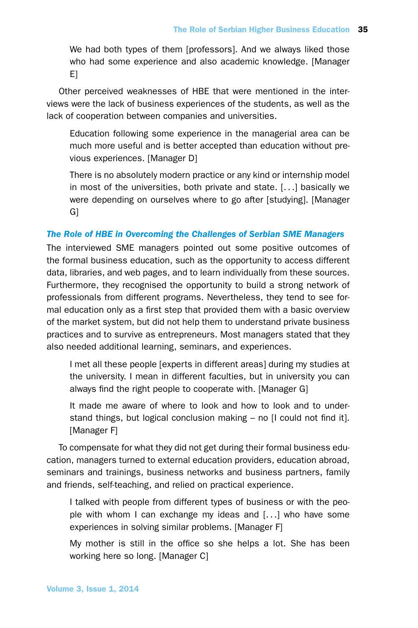We had both types of them [professors]. And we always liked those who had some experience and also academic knowledge. [Manager E]

Other perceived weaknesses of HBE that were mentioned in the interviews were the lack of business experiences of the students, as well as the lack of cooperation between companies and universities.

Education following some experience in the managerial area can be much more useful and is better accepted than education without previous experiences. [Manager D]

There is no absolutely modern practice or any kind or internship model in most of the universities, both private and state. [. . .] basically we were depending on ourselves where to go after [studying]. [Manager G]

# *The Role of HBE in Overcoming the Challenges of Serbian SME Managers*

The interviewed SME managers pointed out some positive outcomes of the formal business education, such as the opportunity to access different data, libraries, and web pages, and to learn individually from these sources. Furthermore, they recognised the opportunity to build a strong network of professionals from different programs. Nevertheless, they tend to see formal education only as a first step that provided them with a basic overview of the market system, but did not help them to understand private business practices and to survive as entrepreneurs. Most managers stated that they also needed additional learning, seminars, and experiences.

I met all these people [experts in different areas] during my studies at the university. I mean in different faculties, but in university you can always find the right people to cooperate with. [Manager G]

It made me aware of where to look and how to look and to understand things, but logical conclusion making – no [I could not find it]. [Manager F]

To compensate for what they did not get during their formal business education, managers turned to external education providers, education abroad, seminars and trainings, business networks and business partners, family and friends, self-teaching, and relied on practical experience.

I talked with people from different types of business or with the people with whom I can exchange my ideas and [. . .] who have some experiences in solving similar problems. [Manager F]

My mother is still in the office so she helps a lot. She has been working here so long. [Manager C]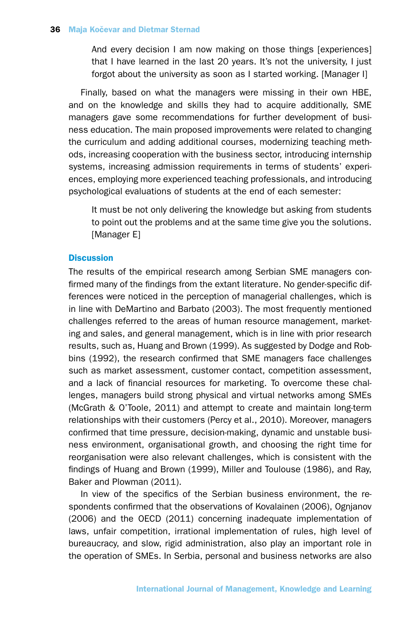And every decision I am now making on those things [experiences] that I have learned in the last 20 years. It's not the university, I just forgot about the university as soon as I started working. [Manager I]

Finally, based on what the managers were missing in their own HBE, and on the knowledge and skills they had to acquire additionally, SME managers gave some recommendations for further development of business education. The main proposed improvements were related to changing the curriculum and adding additional courses, modernizing teaching methods, increasing cooperation with the business sector, introducing internship systems, increasing admission requirements in terms of students' experiences, employing more experienced teaching professionals, and introducing psychological evaluations of students at the end of each semester:

It must be not only delivering the knowledge but asking from students to point out the problems and at the same time give you the solutions. [Manager E]

### **Discussion**

The results of the empirical research among Serbian SME managers confirmed many of the findings from the extant literature. No gender-specific differences were noticed in the perception of managerial challenges, which is in line with DeMartino and Barbato (2003). The most frequently mentioned challenges referred to the areas of human resource management, marketing and sales, and general management, which is in line with prior research results, such as, Huang and Brown (1999). As suggested by Dodge and Robbins (1992), the research confirmed that SME managers face challenges such as market assessment, customer contact, competition assessment, and a lack of financial resources for marketing. To overcome these challenges, managers build strong physical and virtual networks among SMEs (McGrath & O'Toole, 2011) and attempt to create and maintain long-term relationships with their customers (Percy et al., 2010). Moreover, managers confirmed that time pressure, decision-making, dynamic and unstable business environment, organisational growth, and choosing the right time for reorganisation were also relevant challenges, which is consistent with the findings of Huang and Brown (1999), Miller and Toulouse (1986), and Ray, Baker and Plowman (2011).

In view of the specifics of the Serbian business environment, the respondents confirmed that the observations of Kovalainen (2006), Ognjanov (2006) and the OECD (2011) concerning inadequate implementation of laws, unfair competition, irrational implementation of rules, high level of bureaucracy, and slow, rigid administration, also play an important role in the operation of SMEs. In Serbia, personal and business networks are also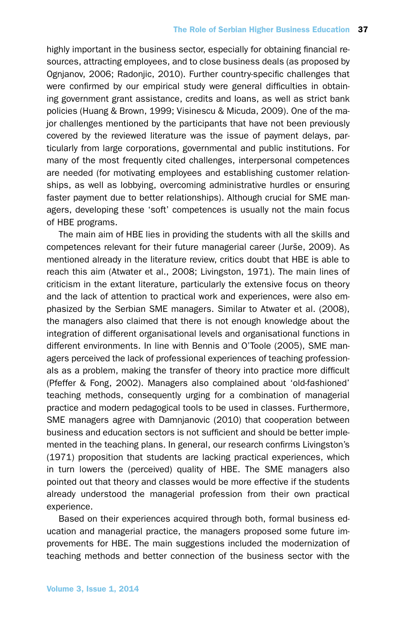highly important in the business sector, especially for obtaining financial resources, attracting employees, and to close business deals (as proposed by Ognjanov, 2006; Radonjic, 2010). Further country-specific challenges that were confirmed by our empirical study were general difficulties in obtaining government grant assistance, credits and loans, as well as strict bank policies (Huang & Brown, 1999; Visinescu & Micuda, 2009). One of the major challenges mentioned by the participants that have not been previously covered by the reviewed literature was the issue of payment delays, particularly from large corporations, governmental and public institutions. For many of the most frequently cited challenges, interpersonal competences are needed (for motivating employees and establishing customer relationships, as well as lobbying, overcoming administrative hurdles or ensuring faster payment due to better relationships). Although crucial for SME managers, developing these 'soft' competences is usually not the main focus of HBE programs.

The main aim of HBE lies in providing the students with all the skills and competences relevant for their future managerial career (Jurše, 2009). As mentioned already in the literature review, critics doubt that HBE is able to reach this aim (Atwater et al., 2008; Livingston, 1971). The main lines of criticism in the extant literature, particularly the extensive focus on theory and the lack of attention to practical work and experiences, were also emphasized by the Serbian SME managers. Similar to Atwater et al. (2008), the managers also claimed that there is not enough knowledge about the integration of different organisational levels and organisational functions in different environments. In line with Bennis and O'Toole (2005), SME managers perceived the lack of professional experiences of teaching professionals as a problem, making the transfer of theory into practice more difficult (Pfeffer & Fong, 2002). Managers also complained about 'old-fashioned' teaching methods, consequently urging for a combination of managerial practice and modern pedagogical tools to be used in classes. Furthermore, SME managers agree with Damnjanovic (2010) that cooperation between business and education sectors is not sufficient and should be better implemented in the teaching plans. In general, our research confirms Livingston's (1971) proposition that students are lacking practical experiences, which in turn lowers the (perceived) quality of HBE. The SME managers also pointed out that theory and classes would be more effective if the students already understood the managerial profession from their own practical experience.

Based on their experiences acquired through both, formal business education and managerial practice, the managers proposed some future improvements for HBE. The main suggestions included the modernization of teaching methods and better connection of the business sector with the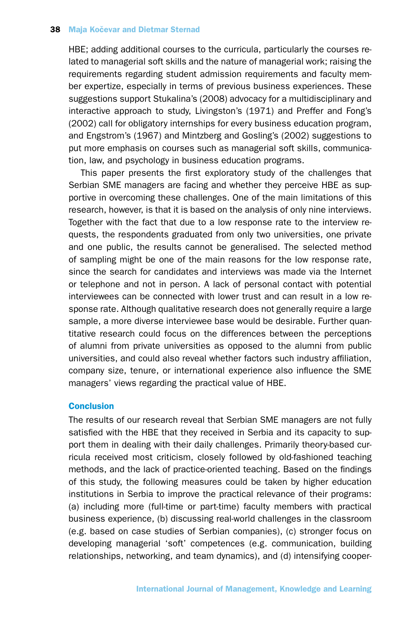HBE; adding additional courses to the curricula, particularly the courses related to managerial soft skills and the nature of managerial work; raising the requirements regarding student admission requirements and faculty member expertize, especially in terms of previous business experiences. These suggestions support Stukalina's (2008) advocacy for a multidisciplinary and interactive approach to study, Livingston's (1971) and Preffer and Fong's (2002) call for obligatory internships for every business education program, and Engstrom's (1967) and Mintzberg and Gosling's (2002) suggestions to put more emphasis on courses such as managerial soft skills, communication, law, and psychology in business education programs.

This paper presents the first exploratory study of the challenges that Serbian SME managers are facing and whether they perceive HBE as supportive in overcoming these challenges. One of the main limitations of this research, however, is that it is based on the analysis of only nine interviews. Together with the fact that due to a low response rate to the interview requests, the respondents graduated from only two universities, one private and one public, the results cannot be generalised. The selected method of sampling might be one of the main reasons for the low response rate, since the search for candidates and interviews was made via the Internet or telephone and not in person. A lack of personal contact with potential interviewees can be connected with lower trust and can result in a low response rate. Although qualitative research does not generally require a large sample, a more diverse interviewee base would be desirable. Further quantitative research could focus on the differences between the perceptions of alumni from private universities as opposed to the alumni from public universities, and could also reveal whether factors such industry affiliation, company size, tenure, or international experience also influence the SME managers' views regarding the practical value of HBE.

#### **Conclusion**

The results of our research reveal that Serbian SME managers are not fully satisfied with the HBE that they received in Serbia and its capacity to support them in dealing with their daily challenges. Primarily theory-based curricula received most criticism, closely followed by old-fashioned teaching methods, and the lack of practice-oriented teaching. Based on the findings of this study, the following measures could be taken by higher education institutions in Serbia to improve the practical relevance of their programs: (a) including more (full-time or part-time) faculty members with practical business experience, (b) discussing real-world challenges in the classroom (e.g. based on case studies of Serbian companies), (c) stronger focus on developing managerial 'soft' competences (e.g. communication, building relationships, networking, and team dynamics), and (d) intensifying cooper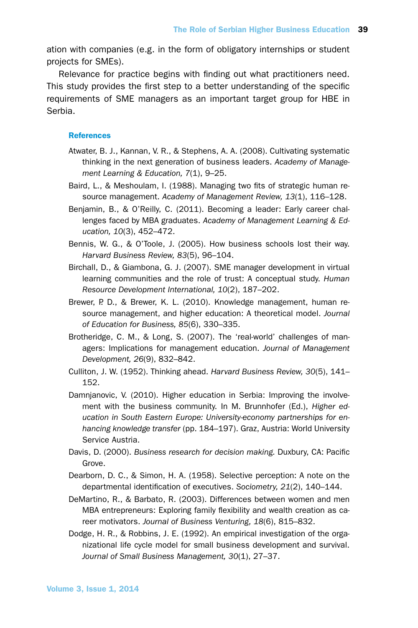ation with companies (e.g. in the form of obligatory internships or student projects for SMEs).

Relevance for practice begins with finding out what practitioners need. This study provides the first step to a better understanding of the specific requirements of SME managers as an important target group for HBE in Serbia.

#### **References**

- Atwater, B. J., Kannan, V. R., & Stephens, A. A. (2008). Cultivating systematic thinking in the next generation of business leaders. *Academy of Management Learning & Education, 7*(1), 9–25.
- Baird, L., & Meshoulam, I. (1988). Managing two fits of strategic human resource management. *Academy of Management Review, 13*(1), 116–128.
- Benjamin, B., & O'Reilly, C. (2011). Becoming a leader: Early career challenges faced by MBA graduates. *Academy of Management Learning & Education, 10*(3), 452–472.
- Bennis, W. G., & O'Toole, J. (2005). How business schools lost their way. *Harvard Business Review, 83*(5), 96–104.
- Birchall, D., & Giambona, G. J. (2007). SME manager development in virtual learning communities and the role of trust: A conceptual study. *Human Resource Development International, 10*(2), 187–202.
- Brewer, P. D., & Brewer, K. L. (2010). Knowledge management, human resource management, and higher education: A theoretical model. *Journal of Education for Business, 85*(6), 330–335.
- Brotheridge, C. M., & Long, S. (2007). The 'real-world' challenges of managers: Implications for management education. *Journal of Management Development, 26*(9), 832–842.
- Culliton, J. W. (1952). Thinking ahead. *Harvard Business Review, 30*(5), 141– 152.
- Damnjanovic, V. (2010). Higher education in Serbia: Improving the involvement with the business community. In M. Brunnhofer (Ed.), *Higher education in South Eastern Europe: University-economy partnerships for enhancing knowledge transfer* (pp. 184–197). Graz, Austria: World University Service Austria.
- Davis, D. (2000). *Business research for decision making.* Duxbury, CA: Pacific Grove.
- Dearborn, D. C., & Simon, H. A. (1958). Selective perception: A note on the departmental identification of executives. *Sociometry, 21*(2), 140–144.
- DeMartino, R., & Barbato, R. (2003). Differences between women and men MBA entrepreneurs: Exploring family flexibility and wealth creation as career motivators. *Journal of Business Venturing, 18*(6), 815–832.
- Dodge, H. R., & Robbins, J. E. (1992). An empirical investigation of the organizational life cycle model for small business development and survival. *Journal of Small Business Management, 30*(1), 27–37.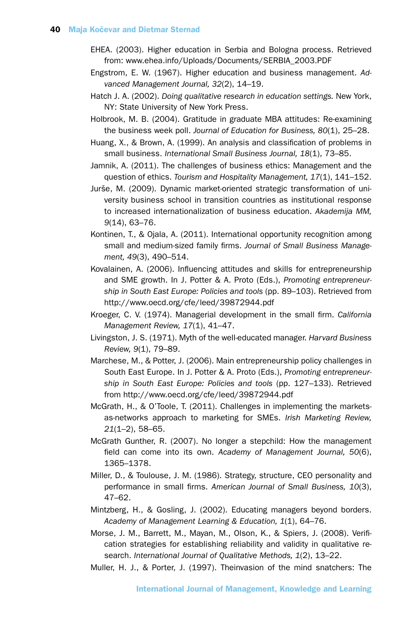- EHEA. (2003). Higher education in Serbia and Bologna process. Retrieved from: www.ehea.info/Uploads/Documents/SERBIA\_2003.PDF
- Engstrom, E. W. (1967). Higher education and business management. *Advanced Management Journal, 32*(2), 14–19.
- Hatch J. A. (2002). *Doing qualitative research in education settings.* New York, NY: State University of New York Press.
- Holbrook, M. B. (2004). Gratitude in graduate MBA attitudes: Re-examining the business week poll. *Journal of Education for Business, 80*(1), 25–28.
- Huang, X., & Brown, A. (1999). An analysis and classification of problems in small business. *International Small Business Journal, 18*(1), 73–85.
- Jamnik, A. (2011). The challenges of business ethics: Management and the question of ethics. *Tourism and Hospitality Management, 17*(1), 141–152.
- Jurše, M. (2009). Dynamic market-oriented strategic transformation of university business school in transition countries as institutional response to increased internationalization of business education. *Akademija MM, 9*(14), 63–76.
- Kontinen, T., & Ojala, A. (2011). International opportunity recognition among small and medium-sized family firms. *Journal of Small Business Management, 49*(3), 490–514.
- Kovalainen, A. (2006). Influencing attitudes and skills for entrepreneurship and SME growth. In J. Potter & A. Proto (Eds.), *Promoting entrepreneurship in South East Europe: Policies and tools* (pp. 89–103). Retrieved from http://www.oecd.org/cfe/leed/39872944.pdf
- Kroeger, C. V. (1974). Managerial development in the small firm. *California Management Review, 17*(1), 41–47.
- Livingston, J. S. (1971). Myth of the well-educated manager. *Harvard Business Review, 9*(1), 79–89.
- Marchese, M., & Potter, J. (2006). Main entrepreneurship policy challenges in South East Europe. In J. Potter & A. Proto (Eds.), *Promoting entrepreneurship in South East Europe: Policies and tools* (pp. 127–133). Retrieved from http://www.oecd.org/cfe/leed/39872944.pdf
- McGrath, H., & O'Toole, T. (2011). Challenges in implementing the marketsas-networks approach to marketing for SMEs. *Irish Marketing Review, 21*(1–2), 58–65.
- McGrath Gunther, R. (2007). No longer a stepchild: How the management field can come into its own. *Academy of Management Journal, 50*(6), 1365–1378.
- Miller, D., & Toulouse, J. M. (1986). Strategy, structure, CEO personality and performance in small firms. *American Journal of Small Business, 10*(3), 47–62.
- Mintzberg, H., & Gosling, J. (2002). Educating managers beyond borders. *Academy of Management Learning & Education, 1*(1), 64–76.
- Morse, J. M., Barrett, M., Mayan, M., Olson, K., & Spiers, J. (2008). Verification strategies for establishing reliability and validity in qualitative research. *International Journal of Qualitative Methods, 1*(2), 13–22.
- Muller, H. J., & Porter, J. (1997). Theinvasion of the mind snatchers: The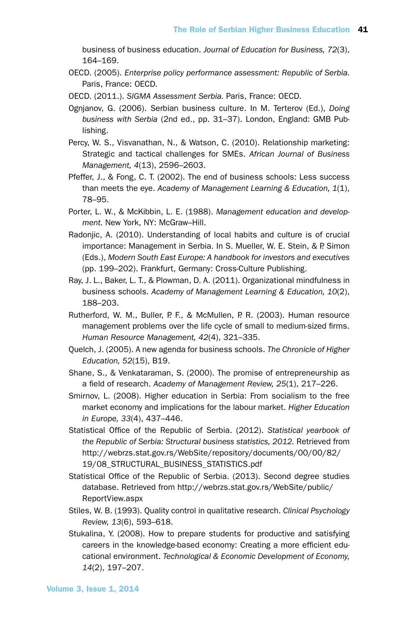business of business education. *Journal of Education for Business, 72*(3), 164–169.

- OECD. (2005). *Enterprise policy performance assessment: Republic of Serbia.* Paris, France: OECD.
- OECD. (2011.). *SIGMA Assessment Serbia.* Paris, France: OECD.
- Ognjanov, G. (2006). Serbian business culture. In M. Terterov (Ed.), *Doing business with Serbia* (2nd ed., pp. 31–37). London, England: GMB Publishing.
- Percy, W. S., Visvanathan, N., & Watson, C. (2010). Relationship marketing: Strategic and tactical challenges for SMEs. *African Journal of Business Management, 4*(13), 2596–2603.
- Pfeffer, J., & Fong, C. T. (2002). The end of business schools: Less success than meets the eye. *Academy of Management Learning & Education, 1*(1), 78–95.
- Porter, L. W., & McKibbin, L. E. (1988). *Management education and development.* New York, NY: McGraw–Hill.
- Radonjic, A. (2010). Understanding of local habits and culture is of crucial importance: Management in Serbia. In S. Mueller, W. E. Stein, & P. Simon (Eds.), *Modern South East Europe: A handbook for investors and executives* (pp. 199–202). Frankfurt, Germany: Cross-Culture Publishing.
- Ray, J. L., Baker, L. T., & Plowman, D. A. (2011). Organizational mindfulness in business schools. *Academy of Management Learning & Education, 10*(2), 188–203.
- Rutherford, W. M., Buller, P. F., & McMullen, P. R. (2003). Human resource management problems over the life cycle of small to medium-sized firms. *Human Resource Management, 42*(4), 321–335.
- Quelch, J. (2005). A new agenda for business schools. *The Chronicle of Higher Education, 52*(15), B19.
- Shane, S., & Venkataraman, S. (2000). The promise of entrepreneurship as a field of research. *Academy of Management Review, 25*(1), 217–226.
- Smirnov, L. (2008). Higher education in Serbia: From socialism to the free market economy and implications for the labour market. *Higher Education in Europe, 33*(4), 437–446.
- Statistical Office of the Republic of Serbia. (2012). *Statistical yearbook of the Republic of Serbia: Structural business statistics, 2012.* Retrieved from http://webrzs.stat.gov.rs/WebSite/repository/documents/00/00/82/ 19/08\_STRUCTURAL\_BUSINESS\_STATISTICS.pdf
- Statistical Office of the Republic of Serbia. (2013). Second degree studies database. Retrieved from http://webrzs.stat.gov.rs/WebSite/public/ ReportView.aspx
- Stiles, W. B. (1993). Quality control in qualitative research. *Clinical Psychology Review, 13*(6), 593–618.
- Stukalina, Y. (2008). How to prepare students for productive and satisfying careers in the knowledge-based economy: Creating a more efficient educational environment. *Technological & Economic Development of Economy, 14*(2), 197–207.